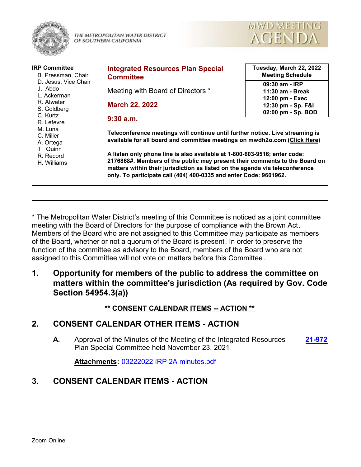

THE METROPOLITAN WATER DISTRICT OF SOUTHERN CALIFORNIA



| <b>IRP Committee</b><br>B. Pressman, Chair                                              | <b>Integrated Resources Plan Special</b><br><b>Committee</b>                                                                                                                                                                                                                                                 | Tuesday, March 22, 2022<br><b>Meeting Schedule</b>          |
|-----------------------------------------------------------------------------------------|--------------------------------------------------------------------------------------------------------------------------------------------------------------------------------------------------------------------------------------------------------------------------------------------------------------|-------------------------------------------------------------|
| D. Jesus, Vice Chair<br>J. Abdo<br>L. Ackerman<br>R. Atwater<br>S. Goldberg<br>C. Kurtz | Meeting with Board of Directors *                                                                                                                                                                                                                                                                            | 09:30 am - IRP<br>11:30 am - Break                          |
|                                                                                         | <b>March 22, 2022</b>                                                                                                                                                                                                                                                                                        | 12:00 pm - Exec<br>12:30 pm - Sp. F&I<br>02:00 pm - Sp. BOD |
| R. Lefevre<br>M. Luna                                                                   | $9:30$ a.m.                                                                                                                                                                                                                                                                                                  |                                                             |
| C. Miller<br>A. Ortega<br>T. Quinn                                                      | Teleconference meetings will continue until further notice. Live streaming is<br>available for all board and committee meetings on mwdh2o.com (Click Here)                                                                                                                                                   |                                                             |
| R. Record<br>H. Williams                                                                | A listen only phone line is also available at 1-800-603-9516; enter code:<br>2176868#. Members of the public may present their comments to the Board on<br>matters within their jurisdiction as listed on the agenda via teleconference<br>only. To participate call (404) 400-0335 and enter Code: 9601962. |                                                             |

\* The Metropolitan Water District's meeting of this Committee is noticed as a joint committee meeting with the Board of Directors for the purpose of compliance with the Brown Act. Members of the Board who are not assigned to this Committee may participate as members of the Board, whether or not a quorum of the Board is present. In order to preserve the function of the committee as advisory to the Board, members of the Board who are not assigned to this Committee will not vote on matters before this Committee.

**1. Opportunity for members of the public to address the committee on matters within the committee's jurisdiction (As required by Gov. Code Section 54954.3(a))**

**\*\* CONSENT CALENDAR ITEMS -- ACTION \*\***

# **2. CONSENT CALENDAR OTHER ITEMS - ACTION**

**A.** Approval of the Minutes of the Meeting of the Integrated Resources **[21-972](http://mwdh2o.legistar.com/gateway.aspx?m=l&id=/matter.aspx?key=2063)** Plan Special Committee held November 23, 2021

**Attachments:** [03222022 IRP 2A minutes.pdf](http://mwdh2o.legistar.com/gateway.aspx?M=F&ID=a9e9ed2f-9d59-4731-bc34-60793888c9b1.pdf)

## **3. CONSENT CALENDAR ITEMS - ACTION**